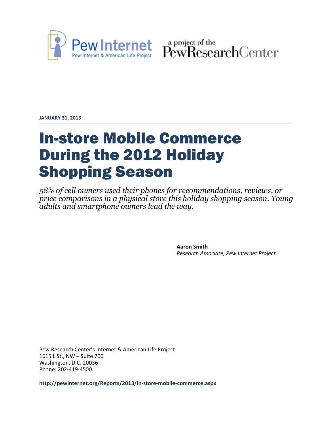

Pew Internet & American Life Project PewResearchCenter

**JANUARY 31, 2013**

# In-store Mobile Commerce During the 2012 Holiday Shopping Season

*58% of cell owners used their phones for recommendations, reviews, or price comparisons in a physical store this holiday shopping season. Young adults and smartphone owners lead the way.*

> **Aaron Smith** *Research Associate, Pew Internet Project*

Pew Research Center's Internet & American Life Project 1615 L St., NW – Suite 700 Washington, D.C. 20036 Phone: 202-419-4500

**<http://pewinternet.org/Reports/2013/in-store-mobile-commerce.aspx>**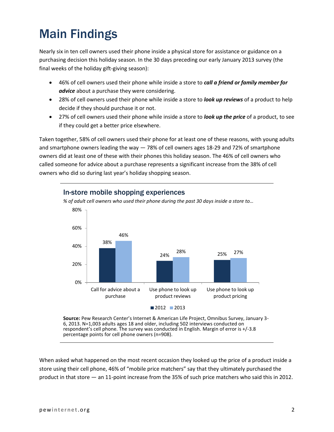## Main Findings

Nearly six in ten cell owners used their phone inside a physical store for assistance or guidance on a purchasing decision this holiday season. In the 30 days preceding our early January 2013 survey (the final weeks of the holiday gift-giving season):

- 46% of cell owners used their phone while inside a store to *call a friend or family member for advice* about a purchase they were considering.
- 28% of cell owners used their phone while inside a store to *look up reviews* of a product to help decide if they should purchase it or not.
- 27% of cell owners used their phone while inside a store to *look up the price* of a product, to see if they could get a better price elsewhere.

Taken together, 58% of cell owners used their phone for at least one of these reasons, with young adults and smartphone owners leading the way — 78% of cell owners ages 18-29 and 72% of smartphone owners did at least one of these with their phones this holiday season. The 46% of cell owners who called someone for advice about a purchase represents a significant increase from the 38% of cell owners who did so during last year's holiday shopping season.



## In-store mobile shopping experiences

*% of adult cell owners who used their phone during the past 30 days inside a store to…*

**Source:** Pew Research Center's Internet & American Life Project, Omnibus Survey, January 3- 6, 2013. N=1,003 adults ages 18 and older, including 502 interviews conducted on respondent's cell phone. The survey was conducted in English. Margin of error is +/-3.8 percentage points for cell phone owners (n=908).

When asked what happened on the most recent occasion they looked up the price of a product inside a store using their cell phone, 46% of "mobile price matchers" say that they ultimately purchased the product in that store — an 11-point increase from the 35% of such price matchers who said this in 2012.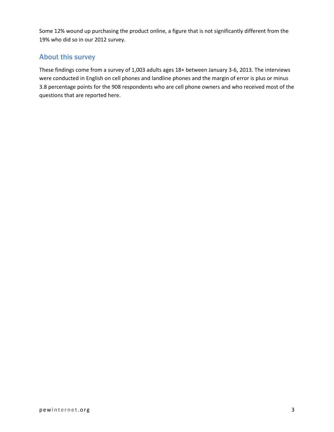Some 12% wound up purchasing the product online, a figure that is not significantly different from the 19% who did so in our 2012 survey.

## About this survey

These findings come from a survey of 1,003 adults ages 18+ between January 3-6, 2013. The interviews were conducted in English on cell phones and landline phones and the margin of error is plus or minus 3.8 percentage points for the 908 respondents who are cell phone owners and who received most of the questions that are reported here.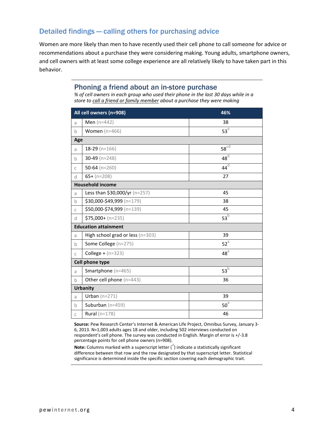## Detailed findings — calling others for purchasing advice

Women are more likely than men to have recently used their cell phone to call someone for advice or recommendations about a purchase they were considering making. Young adults, smartphone owners, and cell owners with at least some college experience are all relatively likely to have taken part in this behavior.

#### Phoning a friend about an in-store purchase

*% of cell owners in each group who used their phone in the last 30 days while in a store to call a friend or family member about a purchase they were making*

| All cell owners (n=908) |                                  | 46%             |
|-------------------------|----------------------------------|-----------------|
| a                       | <b>Men</b> ( $n=442$ )           | 38              |
| b                       | Women $(n=466)$                  | $53^{\circ}$    |
| Age                     |                                  |                 |
| a                       | $18-29$ (n=166)                  | $58^{\circ d}$  |
| b                       | $30-49$ (n=248)                  | $48^\circ$      |
| $\mathsf{C}$            | 50-64 ( $n=260$ )                | $44^\text{d}$   |
| d                       | $65+ (n=208)$                    | 27              |
| <b>Household income</b> |                                  |                 |
| a                       | Less than \$30,000/yr (n=257)    | 45              |
| $\mathbf b$             | \$30,000-\$49,999 (n=179)        | 38              |
| $\mathsf C$             | \$50,000-\$74,999 (n=139)        | 45              |
| d                       | $$75,000 + (n=235)$              | $53^{b}$        |
|                         | <b>Education attainment</b>      |                 |
| a                       | High school grad or less (n=303) | 39              |
| b                       | Some College (n=275)             | $52^{\text{a}}$ |
| $\mathsf{C}$            | <b>College +</b> $(n=323)$       | $48^{\circ}$    |
|                         | Cell phone type                  |                 |
| a                       | Smartphone (n=465)               | $53^b$          |
| b                       | Other cell phone (n=443)         | 36              |
| <b>Urbanity</b>         |                                  |                 |
| a                       | Urban $(n=271)$                  | 39              |
| b                       | Suburban $(n=459)$               | $50^{\circ}$    |
| $\mathsf C$             | Rural ( $n=178$ )                | 46              |

**Source:** Pew Research Center's Internet & American Life Project, Omnibus Survey, January 3- 6, 2013. N=1,003 adults ages 18 and older, including 502 interviews conducted on respondent's cell phone. The survey was conducted in English. Margin of error is +/-3.8 percentage points for cell phone owners (n=908).

.<br>**Note:** Columns marked with a superscript letter (<sup>a</sup>) indicate a statistically significant difference between that row and the row designated by that superscript letter. Statistical significance is determined inside the specific section covering each demographic trait.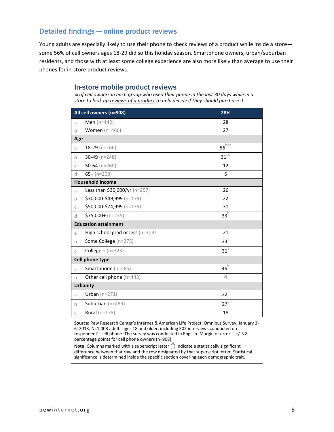### Detailed findings — online product reviews

Young adults are especially likely to use their phone to check reviews of a product while inside a store some 56% of cell owners ages 18-29 did so this holiday season. Smartphone owners, urban/suburban residents, and those with at least some college experience are also more likely than average to use their phones for in-store product reviews.

#### In-store mobile product reviews

*% of cell owners in each group who used their phone in the last 30 days while in a store to look up reviews of a product to help decide if they should purchase it*

| All cell owners (n=908)     |                                  | 28%                |  |
|-----------------------------|----------------------------------|--------------------|--|
| a                           | Men $(n=442)$                    | 28                 |  |
| $\mathsf b$                 | Women $(n=466)$                  | 27                 |  |
|                             | Age                              |                    |  |
| a                           | $18-29$ (n=166)                  | $56^{bcd}$         |  |
| $\mathsf b$                 | 30-49 ( $n=248$ )                | $31$ <sup>cd</sup> |  |
| $\mathsf{C}$                | 50-64 ( $n=260$ )                | 12                 |  |
| d                           | $65+ (n=208)$                    | 6                  |  |
| <b>Household income</b>     |                                  |                    |  |
| a                           | Less than \$30,000/yr (n=257)    | 26                 |  |
| $\mathsf b$                 | \$30,000-\$49,999 (n=179)        | 22                 |  |
| $\mathsf{C}$                | \$50,000-\$74,999 (n=139)        | 31                 |  |
| d                           | $$75,000 + (n=235)$              | 33 <sup>b</sup>    |  |
| <b>Education attainment</b> |                                  |                    |  |
| a                           | High school grad or less (n=303) | 21                 |  |
| $\mathsf b$                 | Some College (n=275)             | 33 <sup>a</sup>    |  |
| $\mathsf{C}$                | <b>College +</b> $(n=323)$       | $31^{\circ}$       |  |
|                             | Cell phone type                  |                    |  |
| a                           | Smartphone (n=465)               | $46^{\rm b}$       |  |
| $\mathbf b$                 | Other cell phone (n=443)         | 4                  |  |
| <b>Urbanity</b>             |                                  |                    |  |
| a                           | Urban $(n=271)$                  | $32^C$             |  |
| $\mathbf b$                 | Suburban $(n=459)$               | $27^{\circ}$       |  |
| $\mathsf C$                 | Rural ( $n=178$ )                | 18                 |  |

**Source:** Pew Research Center's Internet & American Life Project, Omnibus Survey, January 3- 6, 2013. N=1,003 adults ages 18 and older, including 502 interviews conducted on respondent's cell phone. The survey was conducted in English. Margin of error is +/-3.8 percentage points for cell phone owners (n=908).

.<br>**Note:** Columns marked with a superscript letter (<sup>a</sup>) indicate a statistically significant difference between that row and the row designated by that superscript letter. Statistical significance is determined inside the specific section covering each demographic trait.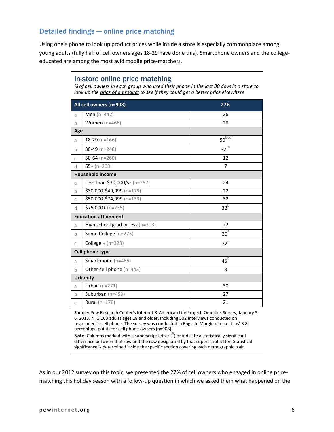## Detailed findings — online price matching

Using one's phone to look up product prices while inside a store is especially commonplace among young adults (fully half of cell owners ages 18-29 have done this). Smartphone owners and the collegeeducated are among the most avid mobile price-matchers.

#### In-store online price matching

*% of cell owners in each group who used their phone in the last 30 days in a store to look up the price of a product to see if they could get a better price elsewhere*

| All cell owners (n=908) |                                  | 27%              |  |
|-------------------------|----------------------------------|------------------|--|
| a                       | Men $(n=442)$                    | 26               |  |
| $\mathsf b$             | Women $(n=466)$                  | 28               |  |
|                         | Age                              |                  |  |
| a                       | $18-29$ (n=166)                  | $50^{bcd}$       |  |
| $\mathsf b$             | 30-49 ( $n=248$ )                | 32 <sup>cd</sup> |  |
| $\mathsf C$             | 50-64 ( $n=260$ )                | 12               |  |
| d                       | $65+ (n=208)$                    | $\overline{7}$   |  |
| <b>Household income</b> |                                  |                  |  |
| a                       | Less than \$30,000/yr (n=257)    | 24               |  |
| $\mathsf b$             | \$30,000-\$49,999 (n=179)        | 22               |  |
| $\mathsf C$             | \$50,000-\$74,999 (n=139)        | 32               |  |
| d                       | $$75,000 + (n=235)$              | $32^{b}$         |  |
|                         | <b>Education attainment</b>      |                  |  |
| a                       | High school grad or less (n=303) | 22               |  |
| $\mathsf b$             | Some College (n=275)             | $\rm 30^{\circ}$ |  |
| $\mathsf C$             | <b>College +</b> $(n=323)$       | $32^a$           |  |
|                         | Cell phone type                  |                  |  |
| a                       | Smartphone (n=465)               | $45^b$           |  |
| $\mathsf b$             | Other cell phone (n=443)         | 3                |  |
| <b>Urbanity</b>         |                                  |                  |  |
| a                       | Urban $(n=271)$                  | 30               |  |
| $\mathsf b$             | Suburban $(n=459)$               | 27               |  |
| $\mathsf C$             | Rural ( $n=178$ )                | 21               |  |

**Source:** Pew Research Center's Internet & American Life Project, Omnibus Survey, January 3- 6, 2013. N=1,003 adults ages 18 and older, including 502 interviews conducted on respondent's cell phone. The survey was conducted in English. Margin of error is +/-3.8 percentage points for cell phone owners (n=908).

.<br>**Note:** Columns marked with a superscript letter (<sup>a</sup>) or indicate a statistically significant difference between that row and the row designated by that superscript letter. Statistical significance is determined inside the specific section covering each demographic trait.

As in our 2012 survey on this topic, we presented the 27% of cell owners who engaged in online pricematching this holiday season with a follow-up question in which we asked them what happened on the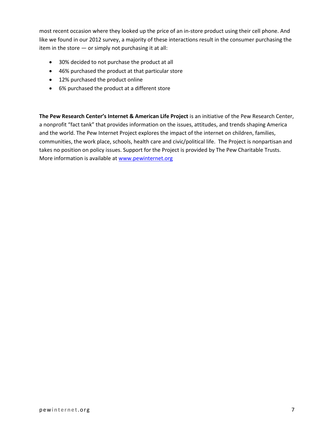most recent occasion where they looked up the price of an in-store product using their cell phone. And like we found in our 2012 survey, a majority of these interactions result in the consumer purchasing the item in the store — or simply not purchasing it at all:

- 30% decided to not purchase the product at all
- 46% purchased the product at that particular store
- 12% purchased the product online
- 6% purchased the product at a different store

**The Pew Research Center's Internet & American Life Project** is an initiative of the Pew Research Center, a nonprofit "fact tank" that provides information on the issues, attitudes, and trends shaping America and the world. The Pew Internet Project explores the impact of the internet on children, families, communities, the work place, schools, health care and civic/political life. The Project is nonpartisan and takes no position on policy issues. Support for the Project is provided by The Pew Charitable Trusts. More information is available at [www.pewinternet.org](http://www.pewinternet.org/)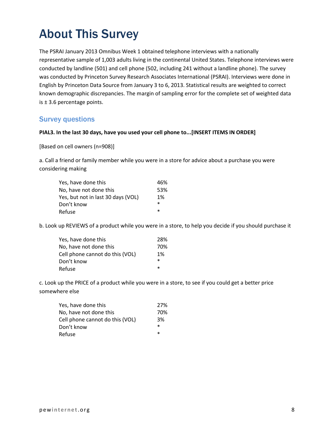## About This Survey

The PSRAI January 2013 Omnibus Week 1 obtained telephone interviews with a nationally representative sample of 1,003 adults living in the continental United States. Telephone interviews were conducted by landline (501) and cell phone (502, including 241 without a landline phone). The survey was conducted by Princeton Survey Research Associates International (PSRAI). Interviews were done in English by Princeton Data Source from January 3 to 6, 2013. Statistical results are weighted to correct known demographic discrepancies. The margin of sampling error for the complete set of weighted data is  $\pm$  3.6 percentage points.

### Survey questions

#### **PIAL3. In the last 30 days, have you used your cell phone to...[INSERT ITEMS IN ORDER]**

[Based on cell owners (n=908)]

a. Call a friend or family member while you were in a store for advice about a purchase you were considering making

| Yes, have done this                | 46%    |
|------------------------------------|--------|
| No, have not done this             | 53%    |
| Yes, but not in last 30 days (VOL) | 1%     |
| Don't know                         | $\ast$ |
| Refuse                             | $\ast$ |

b. Look up REVIEWS of a product while you were in a store, to help you decide if you should purchase it

| Yes, have done this             | 28%    |
|---------------------------------|--------|
| No, have not done this          | 70%    |
| Cell phone cannot do this (VOL) | 1%     |
| Don't know                      | $\ast$ |
| Refuse                          | $\ast$ |

c. Look up the PRICE of a product while you were in a store, to see if you could get a better price somewhere else

| Yes, have done this             | 27%    |
|---------------------------------|--------|
| No, have not done this          | 70%    |
| Cell phone cannot do this (VOL) | 3%     |
| Don't know                      | $\ast$ |
| Refuse                          | $\ast$ |